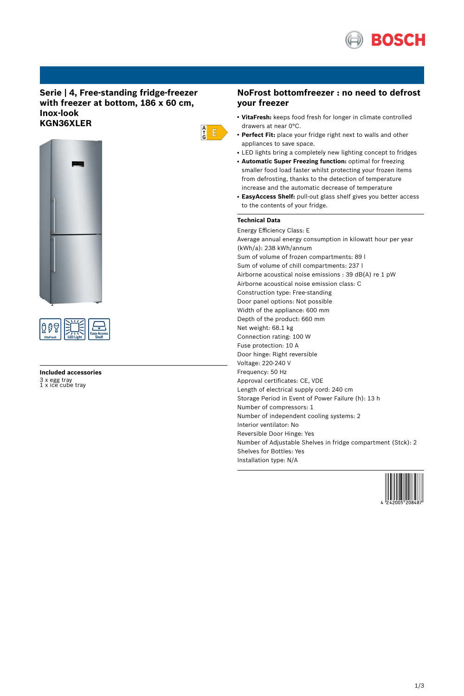

# **Serie | 4, Free-standing fridge-freezer with freezer at bottom, 186 x 60 cm, Inox-look KGN36XLER**





# **Included accessories** 3 x egg tray 1 x ice cube tray

## **NoFrost bottomfreezer : no need to defrost your freezer**

- **VitaFresh:** keeps food fresh for longer in climate controlled drawers at near 0°C.
- Perfect Fit: place your fridge right next to walls and other appliances to save space.
- LED lights bring a completely new lighting concept to fridges
- **Automatic Super Freezing function:** optimal for freezing smaller food load faster whilst protecting your frozen items from defrosting, thanks to the detection of temperature increase and the automatic decrease of temperature
- **EasyAccess Shelf:** pull-out glass shelf gives you better access to the contents of your fridge.

### **Technical Data**

 $\frac{A}{G}$   $E$ 

Energy Efficiency Class: E Average annual energy consumption in kilowatt hour per year (kWh/a): 238 kWh/annum Sum of volume of frozen compartments: 89 l Sum of volume of chill compartments: 237 l Airborne acoustical noise emissions : 39 dB(A) re 1 pW Airborne acoustical noise emission class: C Construction type: Free-standing Door panel options: Not possible Width of the appliance: 600 mm Depth of the product: 660 mm Net weight: 68.1 kg Connection rating: 100 W Fuse protection: 10 A Door hinge: Right reversible Voltage: 220-240 V Frequency: 50 Hz Approval certificates: CE, VDE Length of electrical supply cord: 240 cm Storage Period in Event of Power Failure (h): 13 h Number of compressors: 1 Number of independent cooling systems: 2 Interior ventilator: No Reversible Door Hinge: Yes Number of Adjustable Shelves in fridge compartment (Stck): 2 Shelves for Bottles: Yes Installation type: N/A

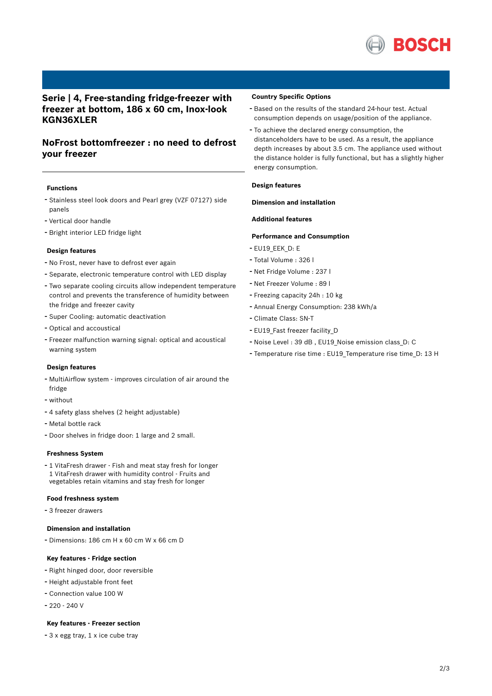

# **Serie | 4, Free-standing fridge-freezer with freezer at bottom, 186 x 60 cm, Inox-look KGN36XLER**

# **NoFrost bottomfreezer : no need to defrost your freezer**

### **Functions**

- Stainless steel look doors and Pearl grey (VZF 07127) side panels
- Vertical door handle
- Bright interior LED fridge light

#### **Design features**

- No Frost, never have to defrost ever again
- Separate, electronic temperature control with LED display
- Two separate cooling circuits allow independent temperature control and prevents the transference of humidity between the fridge and freezer cavity
- Super Cooling: automatic deactivation
- Optical and accoustical
- Freezer malfunction warning signal: optical and acoustical warning system

#### **Design features**

- MultiAirflow system improves circulation of air around the fridge
- without
- <sup>4</sup> safety glass shelves (2 height adjustable)
- Metal bottle rack
- Door shelves in fridge door: <sup>1</sup> large and <sup>2</sup> small.

#### **Freshness System**

- <sup>1</sup> VitaFresh drawer - Fish and meat stay fresh for longer 1 VitaFresh drawer with humidity control - Fruits and vegetables retain vitamins and stay fresh for longer

#### **Food freshness system**

- <sup>3</sup> freezer drawers

### **Dimension and installation**

- Dimensions: 186 cm H x 60 cm W x 66 cm D

### **Key features - Fridge section**

- Right hinged door, door reversible
- Height adjustable front feet
- Connection value <sup>100</sup> <sup>W</sup>
- 220 240 V

### **Key features - Freezer section**

- <sup>3</sup> <sup>x</sup> egg tray, <sup>1</sup> <sup>x</sup> ice cube tray

#### **Country Specific Options**

- Based on the results of the standard 24-hour test. Actual consumption depends on usage/position of the appliance.
- To achieve the declared energy consumption, the distanceholders have to be used. As a result, the appliance depth increases by about 3.5 cm. The appliance used without the distance holder is fully functional, but has a slightly higher energy consumption.

### **Design features**

### **Dimension and installation**

#### **Additional features**

#### **Performance and Consumption**

- EU19\_EEK\_D: E
- Total Volume : <sup>326</sup> <sup>l</sup>
- Net Fridge Volume : <sup>237</sup> <sup>l</sup>
- Net Freezer Volume : <sup>89</sup> <sup>l</sup>
- Freezing capacity 24h : <sup>10</sup> kg
- Annual Energy Consumption: <sup>238</sup> kWh/a
- Climate Class: SN-T
- EU19\_Fast freezer facility\_D
- Noise Level : <sup>39</sup> dB , EU19\_Noise emission class\_D: <sup>C</sup>
- Temperature rise time : EU19\_Temperature rise time\_D: <sup>13</sup> <sup>H</sup>